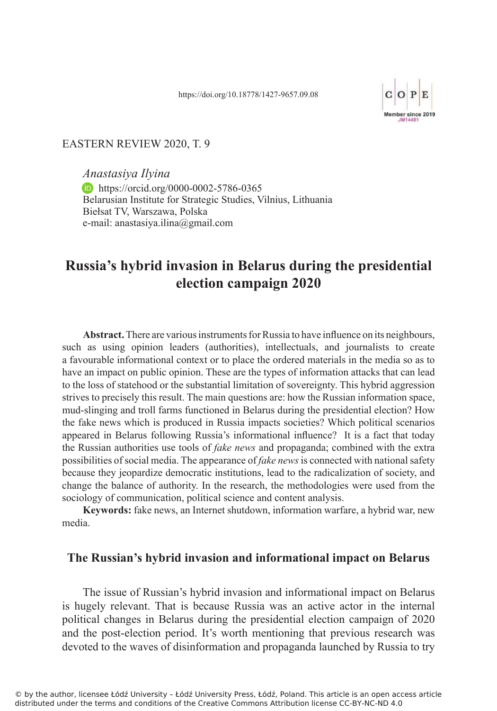

## EASTERN REVIEW 2020, T. 9

*Anastasiya Ilyina* **https://orcid.org/0000-0002-5786-0365** Belarusian Institute for Strategic Studies, Vilnius, Lithuania Biełsat TV, Warszawa, Polska e-mail: anastasiya.ilina@gmail.com

# **Russia's hybrid invasion in Belarus during the presidential election campaign 2020**

**Abstract.** There are various instruments for Russia to have influence on its neighbours, such as using opinion leaders (authorities), intellectuals, and journalists to create a favourable informational context or to place the ordered materials in the media so as to have an impact on public opinion. These are the types of information attacks that can lead to the loss of statehood or the substantial limitation of sovereignty. This hybrid aggression strives to precisely this result. The main questions are: how the Russian information space, mud-slinging and troll farms functioned in Belarus during the presidential election? How the fake news which is produced in Russia impacts societies? Which political scenarios appeared in Belarus following Russia's informational influence? It is a fact that today the Russian authorities use tools of *fake news* and propaganda; combined with the extra possibilities of social media. The appearance of *fake news* is connected with national safety because they jeopardize democratic institutions, lead to the radicalization of society, and change the balance of authority. In the research, the methodologies were used from the sociology of communication, political science and content analysis.

**Keywords:** fake news, an Internet shutdown, information warfare, a hybrid war, new media.

# **The Russian's hybrid invasion and informational impact on Belarus**

The issue of Russian's hybrid invasion and informational impact on Belarus is hugely relevant. That is because Russia was an active actor in the internal political changes in Belarus during the presidential election campaign of 2020 and the post-election period. It's worth mentioning that previous research was devoted to the waves of disinformation and propaganda launched by Russia to try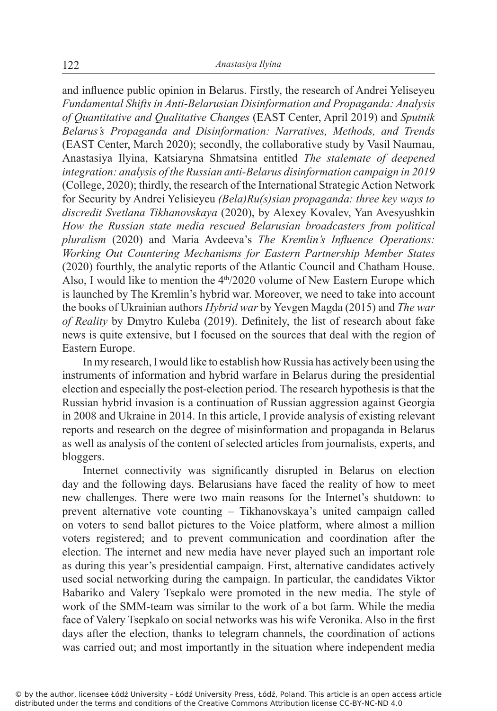and influence public opinion in Belarus. Firstly, the research of Andrei Yeliseyeu *Fundamental Shifts in Anti-Belarusian Disinformation and Propaganda: Analysis of Quantitative and Qualitative Changes* (EAST Center, April 2019) and *Sputnik Belarus's Propaganda and Disinformation: Narratives, Methods, and Trends* (EAST Center, March 2020); secondly, the collaborative study by Vasil Naumau, Anastasiya Ilyina, Katsiaryna Shmatsina entitled *The stalemate of deepened integration: analysis of the Russian anti-Belarus disinformation campaign in 2019* (College, 2020); thirdly, the research of the International Strategic Action Network for Security by Andrei Yelisieyeu *(Bela)Ru(s)sian propaganda: three key ways to discredit Svetlana Tikhanovskaya* (2020), by Alexey Kovalev, Yan Avesyushkin *How the Russian state media rescued Belarusian broadcasters from political pluralism* (2020) and Maria Avdeeva's *The Kremlin's Influence Operations: Working Out Countering Mechanisms for Eastern Partnership Member States* (2020) fourthly, the analytic reports of the Atlantic Council and Chatham House. Also, I would like to mention the  $4<sup>th</sup>/2020$  volume of New Eastern Europe which is launched by The Kremlin's hybrid war. Moreover, we need to take into account the books of Ukrainian authors *Hybrid war* by Yevgen Magda (2015) and *The war of Reality* by Dmytro Kuleba (2019). Definitely, the list of research about fake news is quite extensive, but I focused on the sources that deal with the region of Eastern Europe.

In my research, I would like to establish how Russia has actively been using the instruments of information and hybrid warfare in Belarus during the presidential election and especially the post-election period. The research hypothesis is that the Russian hybrid invasion is a continuation of Russian aggression against Georgia in 2008 and Ukraine in 2014. In this article, I provide analysis of existing relevant reports and research on the degree of misinformation and propaganda in Belarus as well as analysis of the content of selected articles from journalists, experts, and bloggers.

Internet connectivity was significantly disrupted in Belarus on election day and the following days. Belarusians have faced the reality of how to meet new challenges. There were two main reasons for the Internet's shutdown: to prevent alternative vote counting – Tikhanovskaya's united campaign called on voters to send ballot pictures to the Voice platform, where almost a million voters registered; and to prevent communication and coordination after the election. The internet and new media have never played such an important role as during this year's presidential campaign. First, alternative candidates actively used social networking during the campaign. In particular, the candidates Viktor Babariko and Valery Tsepkalo were promoted in the new media. The style of work of the SMM-team was similar to the work of a bot farm. While the media face of Valery Tsepkalo on social networks was his wife Veronika. Also in the first days after the election, thanks to telegram channels, the coordination of actions was carried out; and most importantly in the situation where independent media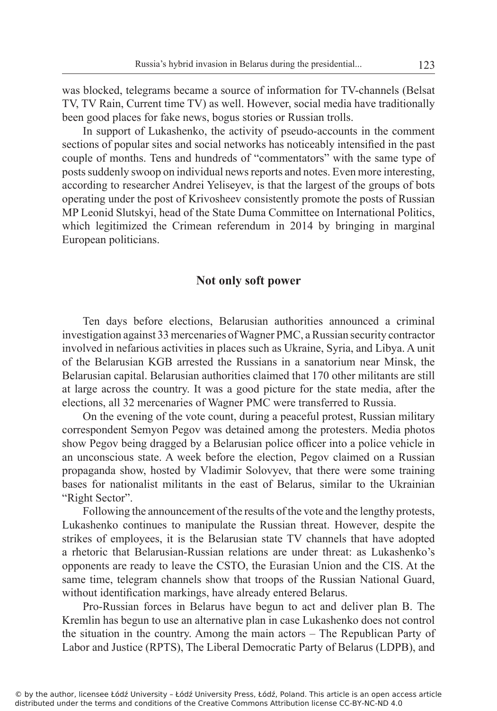was blocked, telegrams became a source of information for TV-channels (Belsat TV, TV Rain, Current time TV) as well. However, social media have traditionally been good places for fake news, bogus stories or Russian trolls.

In support of Lukashenko, the activity of pseudo-accounts in the comment sections of popular sites and social networks has noticeably intensified in the past couple of months. Tens and hundreds of "commentators" with the same type of posts suddenly swoop on individual news reports and notes. Even more interesting, according to researcher Andrei Yeliseyev, is that the largest of the groups of bots operating under the post of Krivosheev consistently promote the posts of Russian MP Leonid Slutskyi, head of the State Duma Committee on International Politics, which legitimized the Crimean referendum in 2014 by bringing in marginal European politicians.

#### **Not only soft power**

Ten days before elections, Belarusian authorities announced a criminal investigation against 33 mercenaries of Wagner PMC, a Russian security contractor involved in nefarious activities in places such as Ukraine, Syria, and Libya. A unit of the Belarusian KGB arrested the Russians in a sanatorium near Minsk, the Belarusian capital. Belarusian authorities claimed that 170 other militants are still at large across the country. It was a good picture for the state media, after the elections, all 32 mercenaries of Wagner PMC were transferred to Russia.

On the evening of the vote count, during a peaceful protest, Russian military correspondent Semyon Pegov was detained among the protesters. Media photos show Pegov being dragged by a Belarusian police officer into a police vehicle in an unconscious state. A week before the election, Pegov claimed on a Russian propaganda show, hosted by Vladimir Solovyev, that there were some training bases for nationalist militants in the east of Belarus, similar to the Ukrainian "Right Sector".

Following the announcement of the results of the vote and the lengthy protests, Lukashenko continues to manipulate the Russian threat. However, despite the strikes of employees, it is the Belarusian state TV channels that have adopted a rhetoric that Belarusian-Russian relations are under threat: as Lukashenko's opponents are ready to leave the CSTO, the Eurasian Union and the CIS. At the same time, telegram channels show that troops of the Russian National Guard, without identification markings, have already entered Belarus.

Pro-Russian forces in Belarus have begun to act and deliver plan B. The Kremlin has begun to use an alternative plan in case Lukashenko does not control the situation in the country. Among the main actors – The Republican Party of Labor and Justice (RPTS), The Liberal Democratic Party of Belarus (LDPB), and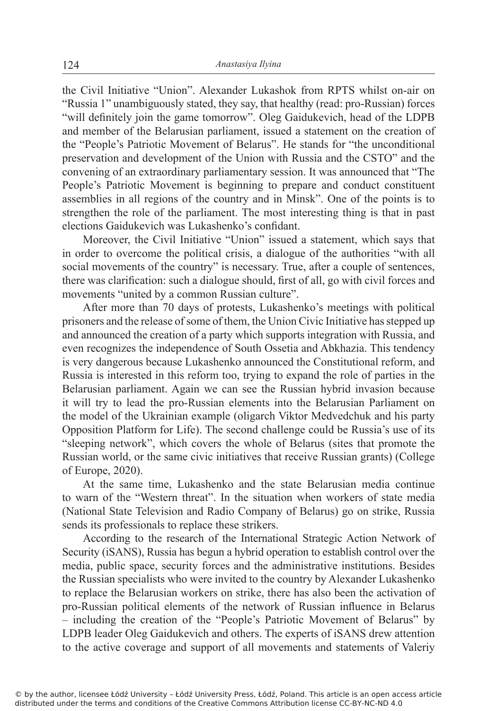the Civil Initiative "Union". Alexander Lukashok from RPTS whilst on-air on "Russia 1" unambiguously stated, they say, that healthy (read: pro-Russian) forces "will definitely join the game tomorrow". Oleg Gaidukevich, head of the LDPB and member of the Belarusian parliament, issued a statement on the creation of the "People's Patriotic Movement of Belarus". He stands for "the unconditional preservation and development of the Union with Russia and the CSTO" and the convening of an extraordinary parliamentary session. It was announced that "The People's Patriotic Movement is beginning to prepare and conduct constituent assemblies in all regions of the country and in Minsk". One of the points is to strengthen the role of the parliament. The most interesting thing is that in past elections Gaidukevich was Lukashenko's confidant.

Moreover, the Civil Initiative "Union" issued a statement, which says that in order to overcome the political crisis, a dialogue of the authorities "with all social movements of the country" is necessary. True, after a couple of sentences, there was clarification: such a dialogue should, first of all, go with civil forces and movements "united by a common Russian culture".

After more than 70 days of protests, Lukashenko's meetings with political prisoners and the release of some of them, the Union Civic Initiative has stepped up and announced the creation of a party which supports integration with Russia, and even recognizes the independence of South Ossetia and Abkhazia. This tendency is very dangerous because Lukashenko announced the Constitutional reform, and Russia is interested in this reform too, trying to expand the role of parties in the Belarusian parliament. Again we can see the Russian hybrid invasion because it will try to lead the pro-Russian elements into the Belarusian Parliament on the model of the Ukrainian example (oligarch Viktor Medvedchuk and his party Opposition Platform for Life). The second challenge could be Russia's use of its "sleeping network", which covers the whole of Belarus (sites that promote the Russian world, or the same civic initiatives that receive Russian grants) (College of Europe, 2020).

At the same time, Lukashenko and the state Belarusian media continue to warn of the "Western threat". In the situation when workers of state media (National State Television and Radio Company of Belarus) go on strike, Russia sends its professionals to replace these strikers.

According to the research of the International Strategic Action Network of Security (iSANS), Russia has begun a hybrid operation to establish control over the media, public space, security forces and the administrative institutions. Besides the Russian specialists who were invited to the country by Alexander Lukashenko to replace the Belarusian workers on strike, there has also been the activation of pro-Russian political elements of the network of Russian influence in Belarus – including the creation of the "People's Patriotic Movement of Belarus" by LDPB leader Oleg Gaidukevich and others. The experts of iSANS drew attention to the active coverage and support of all movements and statements of Valeriy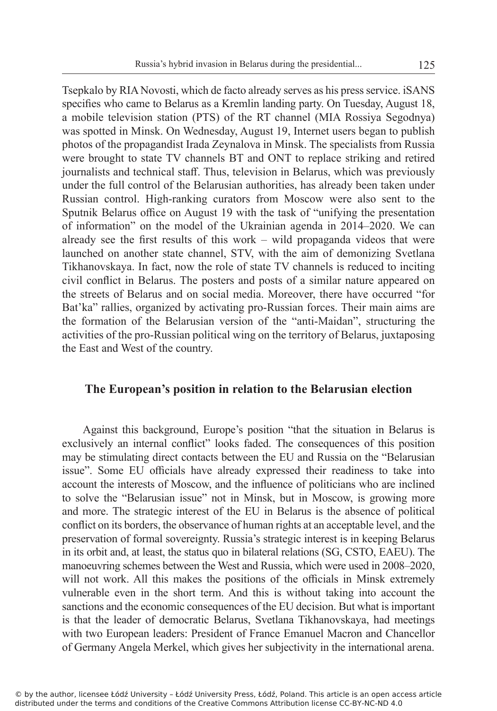Tsepkalo by RIA Novosti, which de facto already serves as his press service. iSANS specifies who came to Belarus as a Kremlin landing party. On Tuesday, August 18, a mobile television station (PTS) of the RT channel (MIA Rossiya Segodnya) was spotted in Minsk. On Wednesday, August 19, Internet users began to publish photos of the propagandist Irada Zeynalova in Minsk. The specialists from Russia were brought to state TV channels BT and ONT to replace striking and retired journalists and technical staff. Thus, television in Belarus, which was previously under the full control of the Belarusian authorities, has already been taken under Russian control. High-ranking curators from Moscow were also sent to the Sputnik Belarus office on August 19 with the task of "unifying the presentation of information" on the model of the Ukrainian agenda in 2014–2020. We can already see the first results of this work – wild propaganda videos that were launched on another state channel, STV, with the aim of demonizing Svetlana Tikhanovskaya. In fact, now the role of state TV channels is reduced to inciting civil conflict in Belarus. The posters and posts of a similar nature appeared on the streets of Belarus and on social media. Moreover, there have occurred "for Bat'ka" rallies, organized by activating pro-Russian forces. Their main aims are the formation of the Belarusian version of the "anti-Maidan", structuring the activities of the pro-Russian political wing on the territory of Belarus, juxtaposing the East and West of the country.

## **The European's position in relation to the Belarusian election**

Against this background, Europe's position "that the situation in Belarus is exclusively an internal conflict" looks faded. The consequences of this position may be stimulating direct contacts between the EU and Russia on the "Belarusian issue". Some EU officials have already expressed their readiness to take into account the interests of Moscow, and the influence of politicians who are inclined to solve the "Belarusian issue" not in Minsk, but in Moscow, is growing more and more. The strategic interest of the EU in Belarus is the absence of political conflict on its borders, the observance of human rights at an acceptable level, and the preservation of formal sovereignty. Russia's strategic interest is in keeping Belarus in its orbit and, at least, the status quo in bilateral relations (SG, CSTO, EAEU). The manoeuvring schemes between the West and Russia, which were used in 2008–2020, will not work. All this makes the positions of the officials in Minsk extremely vulnerable even in the short term. And this is without taking into account the sanctions and the economic consequences of the EU decision. But what is important is that the leader of democratic Belarus, Svetlana Tikhanovskaya, had meetings with two European leaders: President of France Emanuel Macron and Chancellor of Germany Angela Merkel, which gives her subjectivity in the international arena.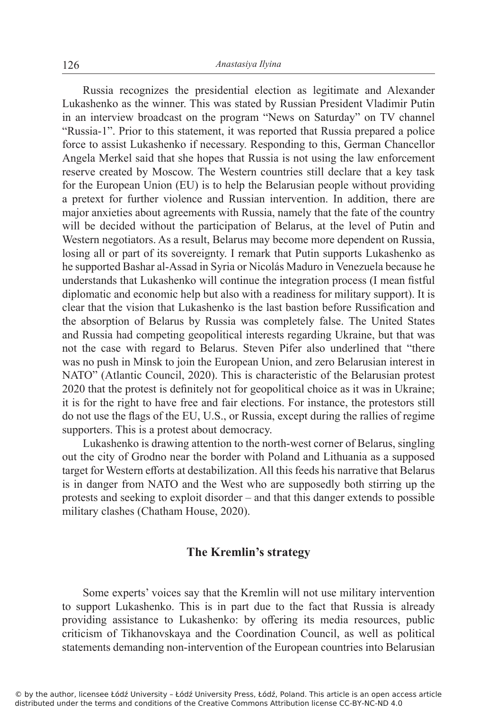Russia recognizes the presidential election as legitimate and Alexander Lukashenko as the winner. This was stated by Russian President Vladimir Putin in an interview broadcast on the program "News on Saturday" on TV channel "Russia-1". Prior to this statement, it was reported that Russia prepared a police force to assist Lukashenko if necessary. Responding to this, German Chancellor Angela Merkel said that she hopes that Russia is not using the law enforcement reserve created by Moscow. The Western countries still declare that a key task for the European Union (EU) is to help the Belarusian people without providing a pretext for further violence and Russian intervention. In addition, there are major anxieties about agreements with Russia, namely that the fate of the country will be decided without the participation of Belarus, at the level of Putin and Western negotiators. As a result, Belarus may become more dependent on Russia, losing all or part of its sovereignty. I remark that Putin supports Lukashenko as he supported Bashar al-Assad in Syria or Nicolás Maduro in Venezuela because he understands that Lukashenko will continue the integration process (I mean fistful diplomatic and economic help but also with a readiness for military support). It is clear that the vision that Lukashenko is the last bastion before Russification and the absorption of Belarus by Russia was completely false. The United States and Russia had competing geopolitical interests regarding Ukraine, but that was not the case with regard to Belarus. Steven Pifer also underlined that "there was no push in Minsk to join the European Union, and zero Belarusian interest in NATO" (Atlantic Council, 2020). This is characteristic of the Belarusian protest 2020 that the protest is definitely not for geopolitical choice as it was in Ukraine; it is for the right to have free and fair elections. For instance, the protestors still do not use the flags of the EU, U.S., or Russia, except during the rallies of regime supporters. This is a protest about democracy.

Lukashenko is drawing attention to the north-west corner of Belarus, singling out the city of Grodno near the border with Poland and Lithuania as a supposed target for Western efforts at destabilization. All this feeds his narrative that Belarus is in danger from NATO and the West who are supposedly both stirring up the protests and seeking to exploit disorder – and that this danger extends to possible military clashes (Chatham House, 2020).

## **The Kremlin's strategy**

Some experts' voices say that the Kremlin will not use military intervention to support Lukashenko. This is in part due to the fact that Russia is already providing assistance to Lukashenko: by offering its media resources, public criticism of Tikhanovskaya and the Coordination Council, as well as political statements demanding non-intervention of the European countries into Belarusian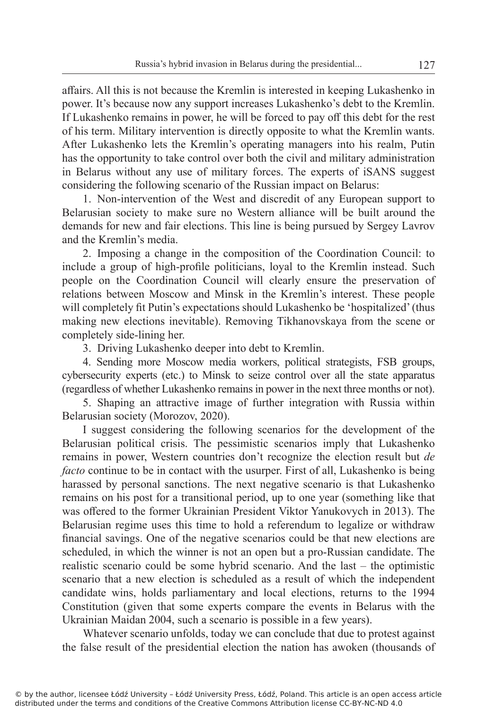affairs. All this is not because the Kremlin is interested in keeping Lukashenko in power. It's because now any support increases Lukashenko's debt to the Kremlin. If Lukashenko remains in power, he will be forced to pay off this debt for the rest of his term. Military intervention is directly opposite to what the Kremlin wants. After Lukashenko lets the Kremlin's operating managers into his realm, Putin has the opportunity to take control over both the civil and military administration in Belarus without any use of military forces. The experts of iSANS suggest considering the following scenario of the Russian impact on Belarus:

1. Non-intervention of the West and discredit of any European support to Belarusian society to make sure no Western alliance will be built around the demands for new and fair elections. This line is being pursued by Sergey Lavrov and the Kremlin's media.

2. Imposing a change in the composition of the Coordination Council: to include a group of high-profile politicians, loyal to the Kremlin instead. Such people on the Coordination Council will clearly ensure the preservation of relations between Moscow and Minsk in the Kremlin's interest. These people will completely fit Putin's expectations should Lukashenko be 'hospitalized' (thus making new elections inevitable). Removing Tikhanovskaya from the scene or completely side-lining her.

3. Driving Lukashenko deeper into debt to Kremlin.

4. Sending more Moscow media workers, political strategists, FSB groups, cybersecurity experts (etc.) to Minsk to seize control over all the state apparatus (regardless of whether Lukashenko remains in power in the next three months or not).

5. Shaping an attractive image of further integration with Russia within Belarusian society (Morozov, 2020).

I suggest considering the following scenarios for the development of the Belarusian political crisis. The pessimistic scenarios imply that Lukashenko remains in power, Western countries don't recognize the election result but *de facto* continue to be in contact with the usurper. First of all, Lukashenko is being harassed by personal sanctions. The next negative scenario is that Lukashenko remains on his post for a transitional period, up to one year (something like that was offered to the former Ukrainian President Viktor Yanukovych in 2013). The Belarusian regime uses this time to hold a referendum to legalize or withdraw financial savings. One of the negative scenarios could be that new elections are scheduled, in which the winner is not an open but a pro-Russian candidate. The realistic scenario could be some hybrid scenario. And the last – the optimistic scenario that a new election is scheduled as a result of which the independent candidate wins, holds parliamentary and local elections, returns to the 1994 Constitution (given that some experts compare the events in Belarus with the Ukrainian Maidan 2004, such a scenario is possible in a few years).

Whatever scenario unfolds, today we can conclude that due to protest against the false result of the presidential election the nation has awoken (thousands of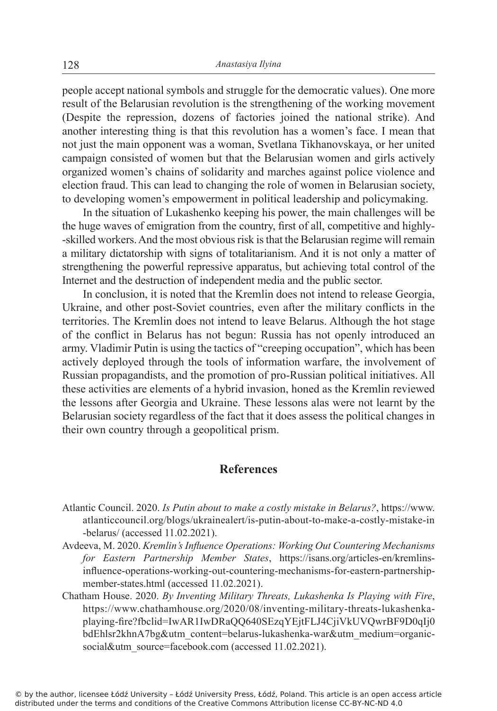people accept national symbols and struggle for the democratic values). One more result of the Belarusian revolution is the strengthening of the working movement (Despite the repression, dozens of factories joined the national strike). And another interesting thing is that this revolution has a women's face. I mean that not just the main opponent was a woman, Svetlana Tikhanovskaya, or her united campaign consisted of women but that the Belarusian women and girls actively organized women's chains of solidarity and marches against police violence and election fraud. This can lead to changing the role of women in Belarusian society, to developing women's empowerment in political leadership and policymaking.

In the situation of Lukashenko keeping his power, the main challenges will be the huge waves of emigration from the country, first of all, competitive and highly- -skilled workers. And the most obvious risk isthat the Belarusian regime will remain a military dictatorship with signs of totalitarianism. And it is not only a matter of strengthening the powerful repressive apparatus, but achieving total control of the Internet and the destruction of independent media and the public sector.

In conclusion, it is noted that the Kremlin does not intend to release Georgia, Ukraine, and other post-Soviet countries, even after the military conflicts in the territories. The Kremlin does not intend to leave Belarus. Although the hot stage of the conflict in Belarus has not begun: Russia has not openly introduced an army. Vladimir Putin is using the tactics of "creeping occupation", which has been actively deployed through the tools of information warfare, the involvement of Russian propagandists, and the promotion of pro-Russian political initiatives. All these activities are elements of a hybrid invasion, honed as the Kremlin reviewed the lessons after Georgia and Ukraine. These lessons alas were not learnt by the Belarusian society regardless of the fact that it does assess the political changes in their own country through a geopolitical prism.

## **References**

- Atlantic Council. 2020. *Is Putin about to make a costly mistake in Belarus?*, https://www. atlanticcouncil.org/blogs/ukrainealert/is-putin-about-to-make-a-costly-mistake-in -belarus/ (accessed 11.02.2021).
- Avdeeva, M. 2020. *Kremlin's Influence Operations: Working Out Countering Mechanisms for Eastern Partnership Member States*, https://isans.org/articles-en/kremlinsinfluence-operations-working-out-countering-mechanisms-for-eastern-partnershipmember-states.html (accessed 11.02.2021).
- Chatham House. 2020. *By Inventing Military Threats, Lukashenka Is Playing with Fire*, https://www.chathamhouse.org/2020/08/inventing-military-threats-lukashenkaplaying-fire?fbclid=IwAR1IwDRaQQ640SEzqYEjtFLJ4CjiVkUVQwrBF9D0qIj0 bdEhlsr2khnA7bg&utm\_content=belarus-lukashenka-war&utm\_medium=organicsocial&utm\_source=facebook.com (accessed 11.02.2021).

© by the author, licensee Łódź University – Łódź University Press, Łódź, Poland. This article is an open access article distributed under the terms and conditions of the Creative Commons Attribution license CC-BY-NC-ND 4.0